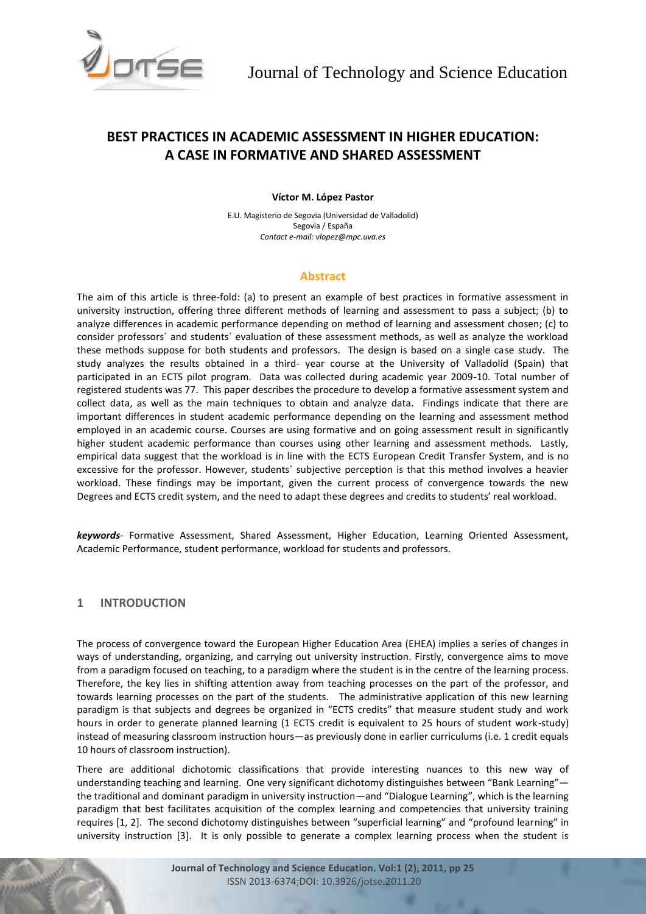

# **BEST PRACTICES IN ACADEMIC ASSESSMENT IN HIGHER EDUCATION: A CASE IN FORMATIVE AND SHARED ASSESSMENT**

#### **Víctor M. López Pastor**

E.U. Magisterio de Segovia (Universidad de Valladolid) Segovia / España *Contact e-mail: vlopez@mpc.uva.es*

## **Abstract**

The aim of this article is three-fold: (a) to present an example of best practices in formative assessment in university instruction, offering three different methods of learning and assessment to pass a subject; (b) to analyze differences in academic performance depending on method of learning and assessment chosen; (c) to consider professors´ and students´ evaluation of these assessment methods, as well as analyze the workload these methods suppose for both students and professors. The design is based on a single case study. The study analyzes the results obtained in a third- year course at the University of Valladolid (Spain) that participated in an ECTS pilot program. Data was collected during academic year 2009-10. Total number of registered students was 77. This paper describes the procedure to develop a formative assessment system and collect data, as well as the main techniques to obtain and analyze data. Findings indicate that there are important differences in student academic performance depending on the learning and assessment method employed in an academic course. Courses are using formative and on going assessment result in significantly higher student academic performance than courses using other learning and assessment methods. Lastly, empirical data suggest that the workload is in line with the ECTS European Credit Transfer System, and is no excessive for the professor. However, students´ subjective perception is that this method involves a heavier workload. These findings may be important, given the current process of convergence towards the new Degrees and ECTS credit system, and the need to adapt these degrees and credits to students' real workload.

*keywords*- Formative Assessment, Shared Assessment, Higher Education, Learning Oriented Assessment, Academic Performance, student performance, workload for students and professors.

## **1 INTRODUCTION**

The process of convergence toward the European Higher Education Area (EHEA) implies a series of changes in ways of understanding, organizing, and carrying out university instruction. Firstly, convergence aims to move from a paradigm focused on teaching, to a paradigm where the student is in the centre of the learning process. Therefore, the key lies in shifting attention away from teaching processes on the part of the professor, and towards learning processes on the part of the students. The administrative application of this new learning paradigm is that subjects and degrees be organized in "ECTS credits" that measure student study and work hours in order to generate planned learning (1 ECTS credit is equivalent to 25 hours of student work-study) instead of measuring classroom instruction hours—as previously done in earlier curriculums (i.e. 1 credit equals 10 hours of classroom instruction).

There are additional dichotomic classifications that provide interesting nuances to this new way of understanding teaching and learning. One very significant dichotomy distinguishes between "Bank Learning" the traditional and dominant paradigm in university instruction—and "Dialogue Learning", which is the learning paradigm that best facilitates acquisition of the complex learning and competencies that university training requires [1, 2]. The second dichotomy distinguishes between "superficial learning" and "profound learning" in university instruction [3]. It is only possible to generate a complex learning process when the student is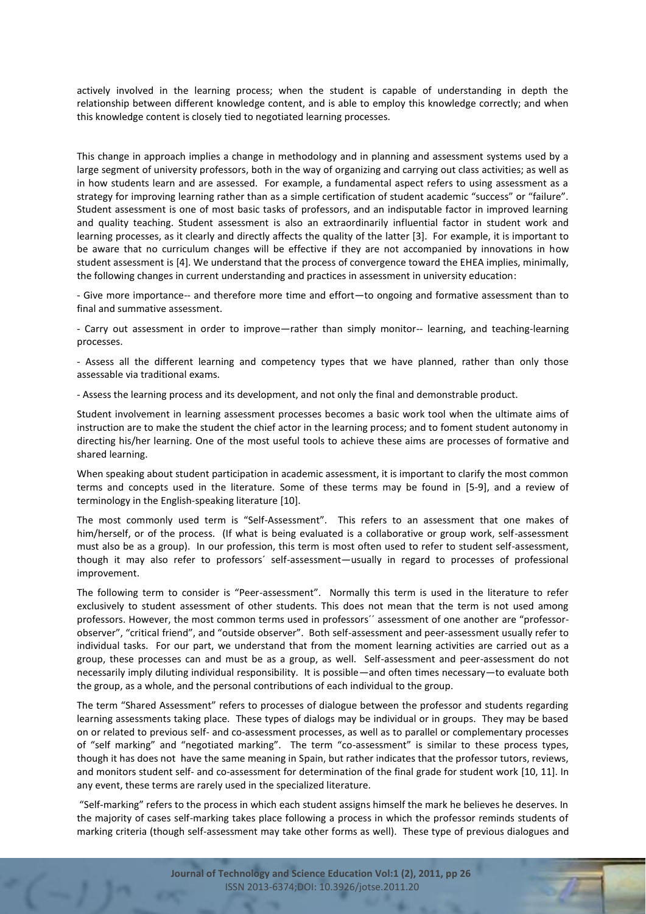actively involved in the learning process; when the student is capable of understanding in depth the relationship between different knowledge content, and is able to employ this knowledge correctly; and when this knowledge content is closely tied to negotiated learning processes.

This change in approach implies a change in methodology and in planning and assessment systems used by a large segment of university professors, both in the way of organizing and carrying out class activities; as well as in how students learn and are assessed. For example, a fundamental aspect refers to using assessment as a strategy for improving learning rather than as a simple certification of student academic "success" or "failure". Student assessment is one of most basic tasks of professors, and an indisputable factor in improved learning and quality teaching. Student assessment is also an extraordinarily influential factor in student work and learning processes, as it clearly and directly affects the quality of the latter [3]. For example, it is important to be aware that no curriculum changes will be effective if they are not accompanied by innovations in how student assessment is [4]. We understand that the process of convergence toward the EHEA implies, minimally, the following changes in current understanding and practices in assessment in university education:

- Give more importance-- and therefore more time and effort—to ongoing and formative assessment than to final and summative assessment.

- Carry out assessment in order to improve—rather than simply monitor-- learning, and teaching-learning processes.

- Assess all the different learning and competency types that we have planned, rather than only those assessable via traditional exams.

- Assess the learning process and its development, and not only the final and demonstrable product.

Student involvement in learning assessment processes becomes a basic work tool when the ultimate aims of instruction are to make the student the chief actor in the learning process; and to foment student autonomy in directing his/her learning. One of the most useful tools to achieve these aims are processes of formative and shared learning.

When speaking about student participation in academic assessment, it is important to clarify the most common terms and concepts used in the literature. Some of these terms may be found in [5-9], and a review of terminology in the English-speaking literature [10].

The most commonly used term is "Self-Assessment". This refers to an assessment that one makes of him/herself, or of the process. (If what is being evaluated is a collaborative or group work, self-assessment must also be as a group). In our profession, this term is most often used to refer to student self-assessment, though it may also refer to professors´ self-assessment—usually in regard to processes of professional improvement.

The following term to consider is "Peer-assessment". Normally this term is used in the literature to refer exclusively to student assessment of other students. This does not mean that the term is not used among professors. However, the most common terms used in professors<sup>"</sup> assessment of one another are "professorobserver", "critical friend", and "outside observer". Both self-assessment and peer-assessment usually refer to individual tasks. For our part, we understand that from the moment learning activities are carried out as a group, these processes can and must be as a group, as well. Self-assessment and peer-assessment do not necessarily imply diluting individual responsibility. It is possible—and often times necessary—to evaluate both the group, as a whole, and the personal contributions of each individual to the group.

The term "Shared Assessment" refers to processes of dialogue between the professor and students regarding learning assessments taking place. These types of dialogs may be individual or in groups. They may be based on or related to previous self- and co-assessment processes, as well as to parallel or complementary processes of "self marking" and "negotiated marking". The term "co-assessment" is similar to these process types, though it has does not have the same meaning in Spain, but rather indicates that the professor tutors, reviews, and monitors student self- and co-assessment for determination of the final grade for student work [10, 11]. In any event, these terms are rarely used in the specialized literature.

"Self-marking" refers to the process in which each student assigns himself the mark he believes he deserves. In the majority of cases self-marking takes place following a process in which the professor reminds students of marking criteria (though self-assessment may take other forms as well). These type of previous dialogues and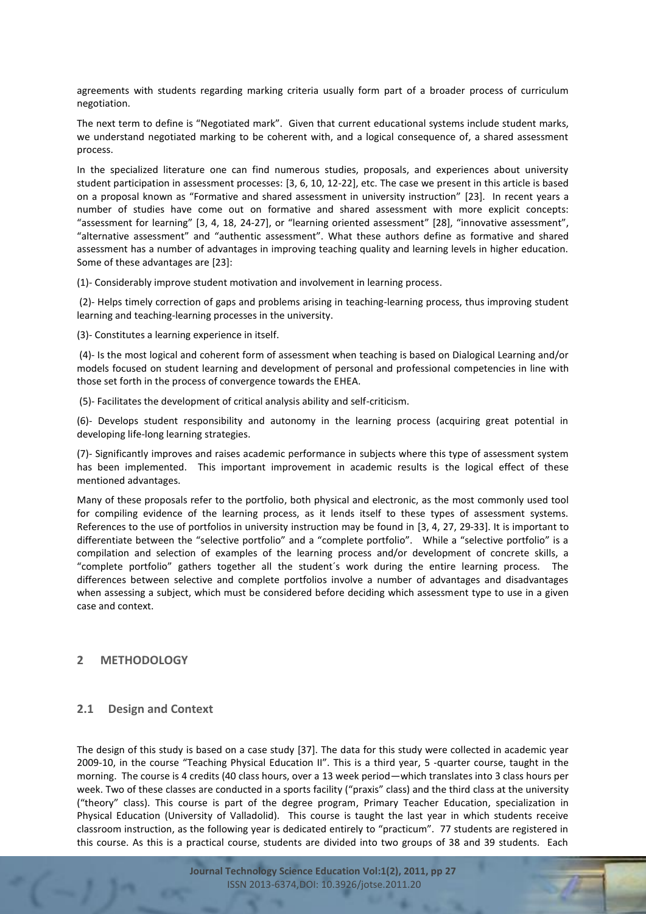agreements with students regarding marking criteria usually form part of a broader process of curriculum negotiation.

The next term to define is "Negotiated mark". Given that current educational systems include student marks, we understand negotiated marking to be coherent with, and a logical consequence of, a shared assessment process.

In the specialized literature one can find numerous studies, proposals, and experiences about university student participation in assessment processes: [3, 6, 10, 12-22], etc. The case we present in this article is based on a proposal known as "Formative and shared assessment in university instruction" [23]. In recent years a number of studies have come out on formative and shared assessment with more explicit concepts: "assessment for learning" [3, 4, 18, 24-27], or "learning oriented assessment" [28], "innovative assessment", "alternative assessment" and "authentic assessment". What these authors define as formative and shared assessment has a number of advantages in improving teaching quality and learning levels in higher education. Some of these advantages are [23]:

(1)- Considerably improve student motivation and involvement in learning process.

(2)- Helps timely correction of gaps and problems arising in teaching-learning process, thus improving student learning and teaching-learning processes in the university.

(3)- Constitutes a learning experience in itself.

(4)- Is the most logical and coherent form of assessment when teaching is based on Dialogical Learning and/or models focused on student learning and development of personal and professional competencies in line with those set forth in the process of convergence towards the EHEA.

(5)- Facilitates the development of critical analysis ability and self-criticism.

(6)- Develops student responsibility and autonomy in the learning process (acquiring great potential in developing life-long learning strategies.

(7)- Significantly improves and raises academic performance in subjects where this type of assessment system has been implemented. This important improvement in academic results is the logical effect of these mentioned advantages.

Many of these proposals refer to the portfolio, both physical and electronic, as the most commonly used tool for compiling evidence of the learning process, as it lends itself to these types of assessment systems. References to the use of portfolios in university instruction may be found in [3, 4, 27, 29-33]. It is important to differentiate between the "selective portfolio" and a "complete portfolio". While a "selective portfolio" is a compilation and selection of examples of the learning process and/or development of concrete skills, a "complete portfolio" gathers together all the student´s work during the entire learning process. The differences between selective and complete portfolios involve a number of advantages and disadvantages when assessing a subject, which must be considered before deciding which assessment type to use in a given case and context.

## **2 METHODOLOGY**

## **2.1 Design and Context**

The design of this study is based on a case study [37]. The data for this study were collected in academic year 2009-10, in the course "Teaching Physical Education II". This is a third year, 5 -quarter course, taught in the morning. The course is 4 credits (40 class hours, over a 13 week period—which translates into 3 class hours per week. Two of these classes are conducted in a sports facility ("praxis" class) and the third class at the university ("theory" class). This course is part of the degree program, Primary Teacher Education, specialization in Physical Education (University of Valladolid). This course is taught the last year in which students receive classroom instruction, as the following year is dedicated entirely to "practicum". 77 students are registered in this course. As this is a practical course, students are divided into two groups of 38 and 39 students. Each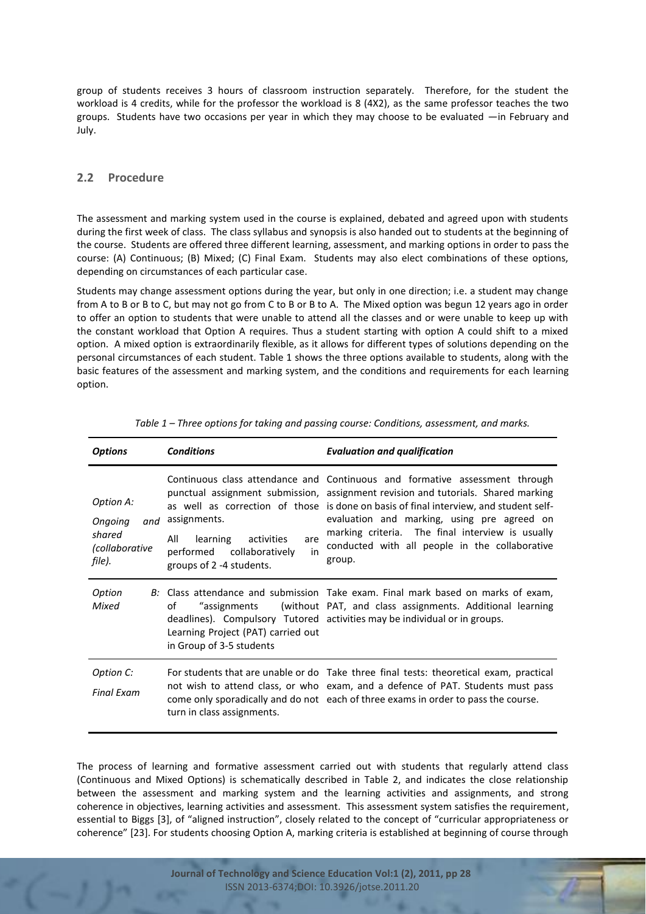group of students receives 3 hours of classroom instruction separately. Therefore, for the student the workload is 4 credits, while for the professor the workload is 8 (4X2), as the same professor teaches the two groups. Students have two occasions per year in which they may choose to be evaluated —in February and July.

#### **2.2 Procedure**

The assessment and marking system used in the course is explained, debated and agreed upon with students during the first week of class. The class syllabus and synopsis is also handed out to students at the beginning of the course. Students are offered three different learning, assessment, and marking options in order to pass the course: (A) Continuous; (B) Mixed; (C) Final Exam. Students may also elect combinations of these options, depending on circumstances of each particular case.

Students may change assessment options during the year, but only in one direction; i.e. a student may change from A to B or B to C, but may not go from C to B or B to A. The Mixed option was begun 12 years ago in order to offer an option to students that were unable to attend all the classes and or were unable to keep up with the constant workload that Option A requires. Thus a student starting with option A could shift to a mixed option. A mixed option is extraordinarily flexible, as it allows for different types of solutions depending on the personal circumstances of each student. Table 1 shows the three options available to students, along with the basic features of the assessment and marking system, and the conditions and requirements for each learning option.

| <b>Options</b>                                                          | <b>Conditions</b>                                                                                                      | <b>Evaluation and qualification</b>                                                                                                                                                                                                                                                                                                                                                                                      |  |  |  |
|-------------------------------------------------------------------------|------------------------------------------------------------------------------------------------------------------------|--------------------------------------------------------------------------------------------------------------------------------------------------------------------------------------------------------------------------------------------------------------------------------------------------------------------------------------------------------------------------------------------------------------------------|--|--|--|
| Option A:<br>Ongoing<br>and<br>shared<br><i>collaborative</i><br>file). | assignments.<br>All<br>learning<br>activities<br>are<br>collaboratively<br>performed<br>in<br>groups of 2 -4 students. | Continuous class attendance and Continuous and formative assessment through<br>punctual assignment submission, assignment revision and tutorials. Shared marking<br>as well as correction of those is done on basis of final interview, and student self-<br>evaluation and marking, using pre agreed on<br>marking criteria. The final interview is usually<br>conducted with all people in the collaborative<br>group. |  |  |  |
| Option<br>Mixed                                                         | οf<br>assignments"<br>Learning Project (PAT) carried out<br>in Group of 3-5 students                                   | B: Class attendance and submission Take exam. Final mark based on marks of exam,<br>(without PAT, and class assignments. Additional learning<br>deadlines). Compulsory Tutored activities may be individual or in groups.                                                                                                                                                                                                |  |  |  |
| Option C:<br><b>Final Exam</b>                                          | turn in class assignments.                                                                                             | For students that are unable or do Take three final tests: theoretical exam, practical<br>not wish to attend class, or who exam, and a defence of PAT. Students must pass<br>come only sporadically and do not each of three exams in order to pass the course.                                                                                                                                                          |  |  |  |

*Table 1 – Three options for taking and passing course: Conditions, assessment, and marks.*

The process of learning and formative assessment carried out with students that regularly attend class (Continuous and Mixed Options) is schematically described in Table 2, and indicates the close relationship between the assessment and marking system and the learning activities and assignments, and strong coherence in objectives, learning activities and assessment. This assessment system satisfies the requirement, essential to Biggs [3], of "aligned instruction", closely related to the concept of "curricular appropriateness or coherence" [23]. For students choosing Option A, marking criteria is established at beginning of course through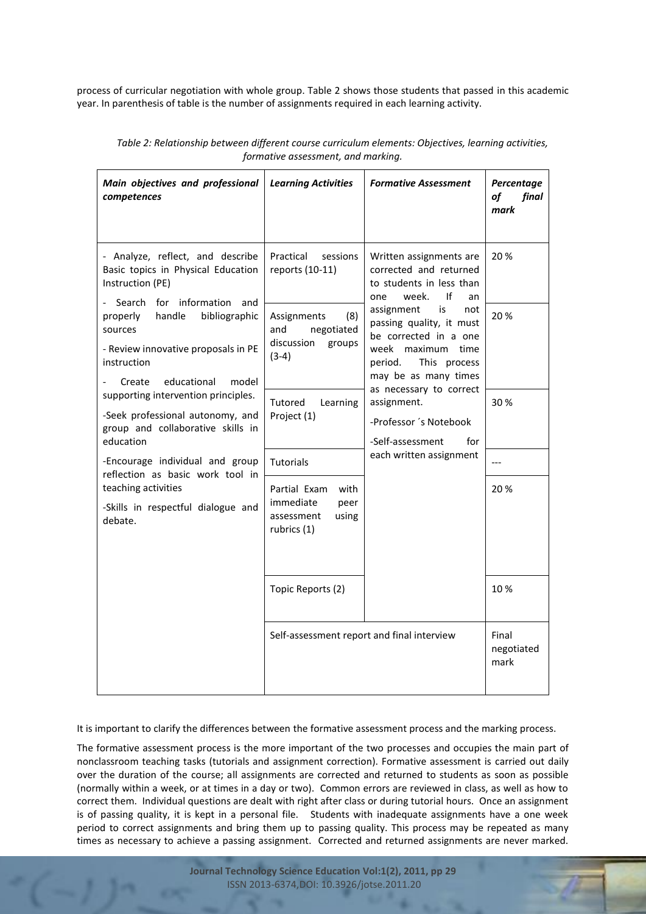process of curricular negotiation with whole group. Table 2 shows those students that passed in this academic year. In parenthesis of table is the number of assignments required in each learning activity.

| Main objectives and professional<br>competences                                                                      | <b>Learning Activities</b>                                                      | <b>Formative Assessment</b>                                                                               | Percentage<br>of<br>final<br>mark |
|----------------------------------------------------------------------------------------------------------------------|---------------------------------------------------------------------------------|-----------------------------------------------------------------------------------------------------------|-----------------------------------|
| - Analyze, reflect, and describe<br>Basic topics in Physical Education<br>Instruction (PE)<br>Search for information | Practical<br>sessions<br>reports (10-11)                                        | Written assignments are<br>corrected and returned<br>to students in less than<br>If<br>week.<br>one<br>an | 20%                               |
| and<br>handle<br>properly<br>bibliographic<br>sources                                                                | Assignments<br>(8)<br>and<br>negotiated                                         | assignment<br>is<br>not<br>passing quality, it must<br>be corrected in a one                              | 20%                               |
| - Review innovative proposals in PE<br>instruction                                                                   | discussion<br>groups<br>$(3-4)$                                                 | week maximum<br>time<br>This process<br>period.                                                           |                                   |
| educational<br>model<br>Create<br>supporting intervention principles.                                                |                                                                                 | may be as many times<br>as necessary to correct                                                           |                                   |
| -Seek professional autonomy, and<br>group and collaborative skills in<br>education                                   | Tutored<br>Learning<br>Project (1)                                              | assignment.<br>-Professor 's Notebook<br>-Self-assessment<br>for                                          | 30%                               |
| -Encourage individual and group                                                                                      | Tutorials                                                                       | each written assignment                                                                                   |                                   |
| reflection as basic work tool in<br>teaching activities<br>-Skills in respectful dialogue and<br>debate.             | Partial Exam<br>with<br>immediate<br>peer<br>assessment<br>using<br>rubrics (1) |                                                                                                           | 20%                               |
|                                                                                                                      | Topic Reports (2)                                                               |                                                                                                           | 10%                               |
|                                                                                                                      | Self-assessment report and final interview                                      | Final<br>negotiated<br>mark                                                                               |                                   |

*Table 2: Relationship between different course curriculum elements: Objectives, learning activities, formative assessment, and marking.*

It is important to clarify the differences between the formative assessment process and the marking process.

The formative assessment process is the more important of the two processes and occupies the main part of nonclassroom teaching tasks (tutorials and assignment correction). Formative assessment is carried out daily over the duration of the course; all assignments are corrected and returned to students as soon as possible (normally within a week, or at times in a day or two). Common errors are reviewed in class, as well as how to correct them. Individual questions are dealt with right after class or during tutorial hours. Once an assignment is of passing quality, it is kept in a personal file. Students with inadequate assignments have a one week period to correct assignments and bring them up to passing quality. This process may be repeated as many times as necessary to achieve a passing assignment. Corrected and returned assignments are never marked.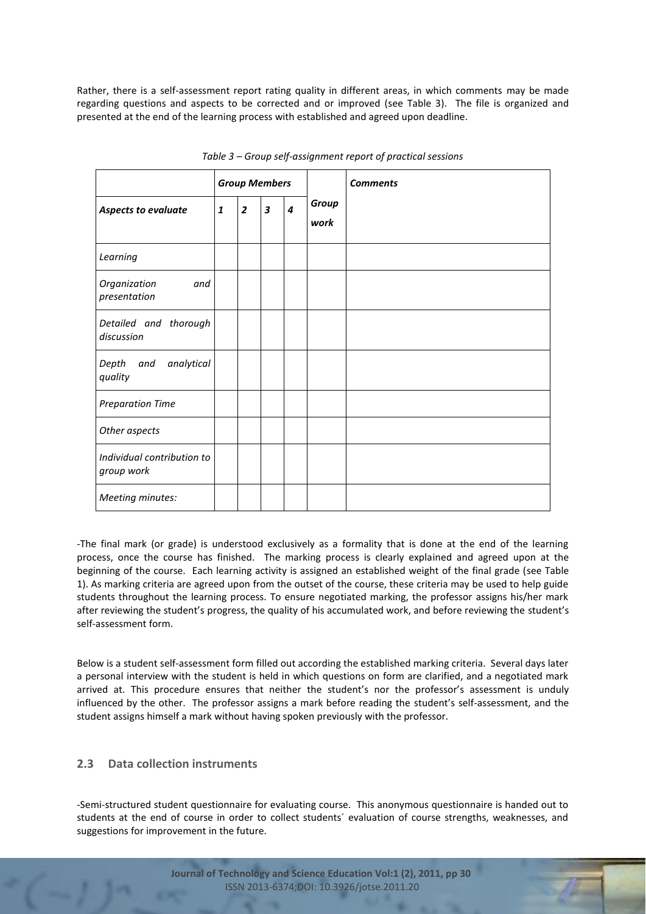Rather, there is a self-assessment report rating quality in different areas, in which comments may be made regarding questions and aspects to be corrected and or improved (see Table 3). The file is organized and presented at the end of the learning process with established and agreed upon deadline.

|                                          | <b>Group Members</b> |                |                         |                  |               | <b>Comments</b> |
|------------------------------------------|----------------------|----------------|-------------------------|------------------|---------------|-----------------|
| Aspects to evaluate                      | $\mathbf{1}$         | $\overline{2}$ | $\overline{\mathbf{3}}$ | $\boldsymbol{4}$ | Group<br>work |                 |
| Learning                                 |                      |                |                         |                  |               |                 |
| Organization<br>and<br>presentation      |                      |                |                         |                  |               |                 |
| Detailed and thorough<br>discussion      |                      |                |                         |                  |               |                 |
| analytical<br>Depth<br>and<br>quality    |                      |                |                         |                  |               |                 |
| <b>Preparation Time</b>                  |                      |                |                         |                  |               |                 |
| Other aspects                            |                      |                |                         |                  |               |                 |
| Individual contribution to<br>group work |                      |                |                         |                  |               |                 |
| Meeting minutes:                         |                      |                |                         |                  |               |                 |

*Table 3 – Group self-assignment report of practical sessions* 

-The final mark (or grade) is understood exclusively as a formality that is done at the end of the learning process, once the course has finished. The marking process is clearly explained and agreed upon at the beginning of the course. Each learning activity is assigned an established weight of the final grade (see Table 1). As marking criteria are agreed upon from the outset of the course, these criteria may be used to help guide students throughout the learning process. To ensure negotiated marking, the professor assigns his/her mark after reviewing the student's progress, the quality of his accumulated work, and before reviewing the student's self-assessment form.

Below is a student self-assessment form filled out according the established marking criteria. Several days later a personal interview with the student is held in which questions on form are clarified, and a negotiated mark arrived at. This procedure ensures that neither the student's nor the professor's assessment is unduly influenced by the other. The professor assigns a mark before reading the student's self-assessment, and the student assigns himself a mark without having spoken previously with the professor.

# **2.3 Data collection instruments**

-Semi-structured student questionnaire for evaluating course. This anonymous questionnaire is handed out to students at the end of course in order to collect students´ evaluation of course strengths, weaknesses, and suggestions for improvement in the future.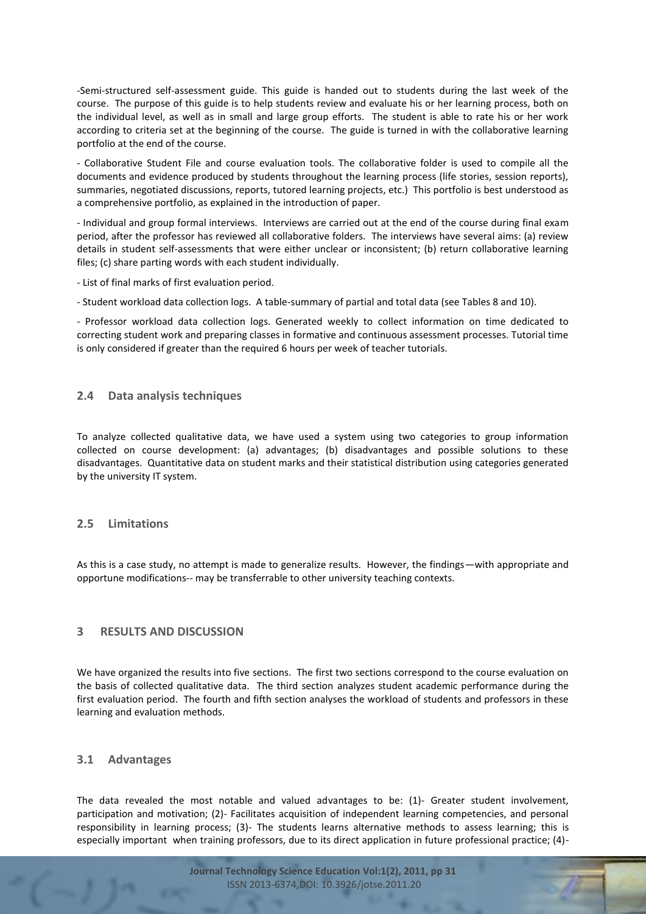-Semi-structured self-assessment guide. This guide is handed out to students during the last week of the course. The purpose of this guide is to help students review and evaluate his or her learning process, both on the individual level, as well as in small and large group efforts. The student is able to rate his or her work according to criteria set at the beginning of the course. The guide is turned in with the collaborative learning portfolio at the end of the course.

- Collaborative Student File and course evaluation tools. The collaborative folder is used to compile all the documents and evidence produced by students throughout the learning process (life stories, session reports), summaries, negotiated discussions, reports, tutored learning projects, etc.) This portfolio is best understood as a comprehensive portfolio, as explained in the introduction of paper.

- Individual and group formal interviews. Interviews are carried out at the end of the course during final exam period, after the professor has reviewed all collaborative folders. The interviews have several aims: (a) review details in student self-assessments that were either unclear or inconsistent; (b) return collaborative learning files; (c) share parting words with each student individually.

- List of final marks of first evaluation period.

- Student workload data collection logs. A table-summary of partial and total data (see Tables 8 and 10).

- Professor workload data collection logs. Generated weekly to collect information on time dedicated to correcting student work and preparing classes in formative and continuous assessment processes. Tutorial time is only considered if greater than the required 6 hours per week of teacher tutorials.

#### **2.4 Data analysis techniques**

To analyze collected qualitative data, we have used a system using two categories to group information collected on course development: (a) advantages; (b) disadvantages and possible solutions to these disadvantages. Quantitative data on student marks and their statistical distribution using categories generated by the university IT system.

## **2.5 Limitations**

As this is a case study, no attempt is made to generalize results. However, the findings—with appropriate and opportune modifications-- may be transferrable to other university teaching contexts.

## **3 RESULTS AND DISCUSSION**

We have organized the results into five sections. The first two sections correspond to the course evaluation on the basis of collected qualitative data. The third section analyzes student academic performance during the first evaluation period. The fourth and fifth section analyses the workload of students and professors in these learning and evaluation methods.

#### **3.1 Advantages**

The data revealed the most notable and valued advantages to be: (1)- Greater student involvement, participation and motivation; (2)- Facilitates acquisition of independent learning competencies, and personal responsibility in learning process; (3)- The students learns alternative methods to assess learning; this is especially important when training professors, due to its direct application in future professional practice; (4)-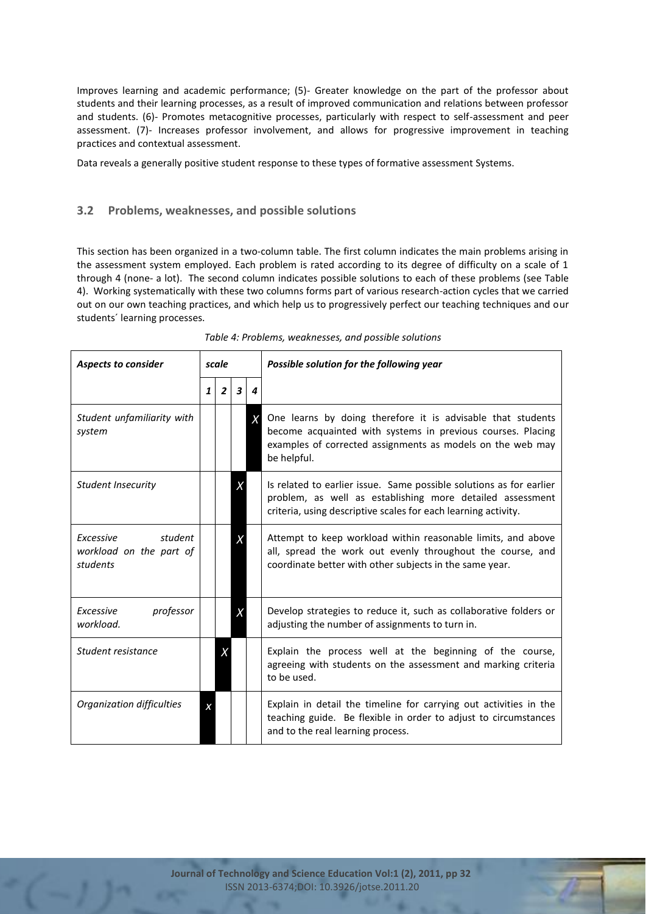Improves learning and academic performance; (5)- Greater knowledge on the part of the professor about students and their learning processes, as a result of improved communication and relations between professor and students. (6)- Promotes metacognitive processes, particularly with respect to self-assessment and peer assessment. (7)- Increases professor involvement, and allows for progressive improvement in teaching practices and contextual assessment.

Data reveals a generally positive student response to these types of formative assessment Systems.

## **3.2 Problems, weaknesses, and possible solutions**

This section has been organized in a two-column table. The first column indicates the main problems arising in the assessment system employed. Each problem is rated according to its degree of difficulty on a scale of 1 through 4 (none- a lot). The second column indicates possible solutions to each of these problems (see Table 4). Working systematically with these two columns forms part of various research-action cycles that we carried out on our own teaching practices, and which help us to progressively perfect our teaching techniques and our students´ learning processes.

| <b>Aspects to consider</b>                                  | scale        |                |   |                                                                                                                                                                                                    | Possible solution for the following year                                                                                                                                                                |  |  |
|-------------------------------------------------------------|--------------|----------------|---|----------------------------------------------------------------------------------------------------------------------------------------------------------------------------------------------------|---------------------------------------------------------------------------------------------------------------------------------------------------------------------------------------------------------|--|--|
|                                                             | $\mathbf{1}$ | $\overline{2}$ | 3 | 4                                                                                                                                                                                                  |                                                                                                                                                                                                         |  |  |
| Student unfamiliarity with<br>system                        |              |                |   | X                                                                                                                                                                                                  | One learns by doing therefore it is advisable that students<br>become acquainted with systems in previous courses. Placing<br>examples of corrected assignments as models on the web may<br>be helpful. |  |  |
| <b>Student Insecurity</b>                                   |              |                | X | Is related to earlier issue. Same possible solutions as for earlier<br>problem, as well as establishing more detailed assessment<br>criteria, using descriptive scales for each learning activity. |                                                                                                                                                                                                         |  |  |
| student<br>Excessive<br>workload on the part of<br>students |              |                |   |                                                                                                                                                                                                    | Attempt to keep workload within reasonable limits, and above<br>all, spread the work out evenly throughout the course, and<br>coordinate better with other subjects in the same year.                   |  |  |
| professor<br>Excessive<br>workload.                         |              |                | Χ |                                                                                                                                                                                                    | Develop strategies to reduce it, such as collaborative folders or<br>adjusting the number of assignments to turn in.                                                                                    |  |  |
| Student resistance                                          |              | Χ              |   |                                                                                                                                                                                                    | Explain the process well at the beginning of the course,<br>agreeing with students on the assessment and marking criteria<br>to be used.                                                                |  |  |
| Organization difficulties                                   |              |                |   |                                                                                                                                                                                                    | Explain in detail the timeline for carrying out activities in the<br>teaching guide. Be flexible in order to adjust to circumstances<br>and to the real learning process.                               |  |  |

*Table 4: Problems, weaknesses, and possible solutions*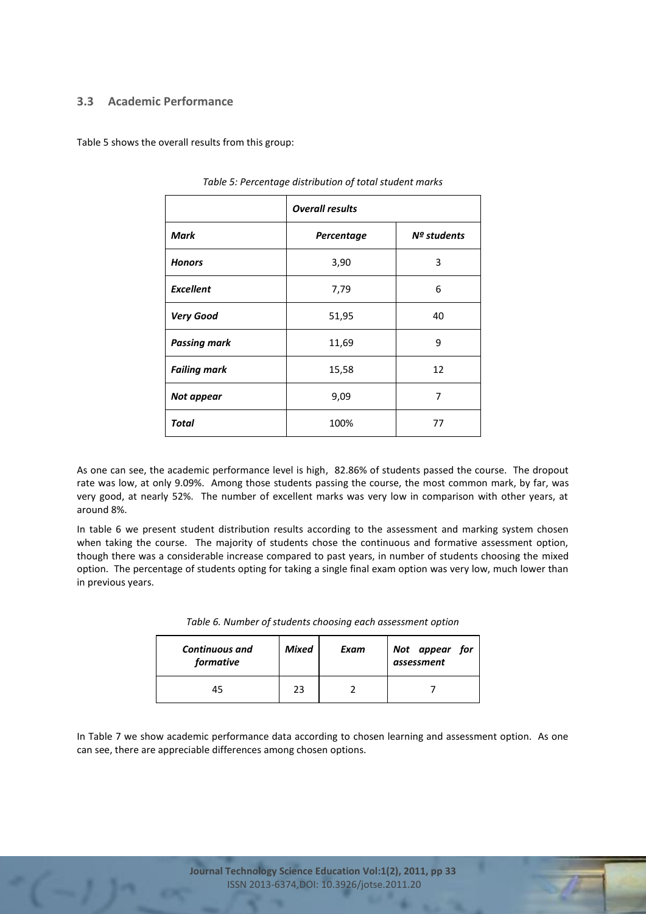## **3.3 Academic Performance**

Table 5 shows the overall results from this group:

|                     | <b>Overall results</b> |               |  |  |  |  |  |
|---------------------|------------------------|---------------|--|--|--|--|--|
| Mark                | Percentage             | $No$ students |  |  |  |  |  |
| <b>Honors</b>       | 3,90                   | 3             |  |  |  |  |  |
| <b>Excellent</b>    | 7,79                   | 6             |  |  |  |  |  |
| <b>Very Good</b>    | 51,95                  | 40            |  |  |  |  |  |
| <b>Passing mark</b> | 11,69                  | 9             |  |  |  |  |  |
| <b>Failing mark</b> | 15,58                  | 12            |  |  |  |  |  |
| Not appear          | 9,09                   | 7             |  |  |  |  |  |
| <b>Total</b>        | 100%                   | 77            |  |  |  |  |  |

*Table 5: Percentage distribution of total student marks* 

As one can see, the academic performance level is high, 82.86% of students passed the course. The dropout rate was low, at only 9.09%. Among those students passing the course, the most common mark, by far, was very good, at nearly 52%. The number of excellent marks was very low in comparison with other years, at around 8%.

In table 6 we present student distribution results according to the assessment and marking system chosen when taking the course. The majority of students chose the continuous and formative assessment option, though there was a considerable increase compared to past years, in number of students choosing the mixed option. The percentage of students opting for taking a single final exam option was very low, much lower than in previous years.

| <b>Continuous and</b><br>formative | <b>Mixed</b> | Exam | Not appear for<br>assessment |
|------------------------------------|--------------|------|------------------------------|
| 45                                 | 23           |      |                              |

*Table 6. Number of students choosing each assessment option*

In Table 7 we show academic performance data according to chosen learning and assessment option. As one can see, there are appreciable differences among chosen options.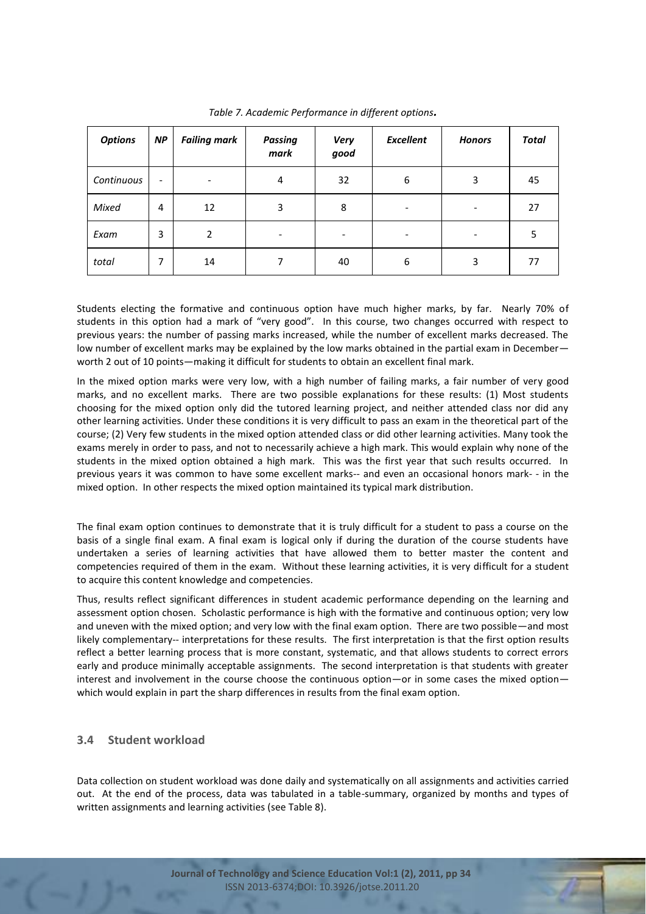| <b>Options</b> | <b>NP</b>                    | <b>Failing mark</b>      | <b>Passing</b><br>mark       | <b>Excellent</b><br><b>Very</b><br>good |                              | <b>Honors</b> | <b>Total</b> |
|----------------|------------------------------|--------------------------|------------------------------|-----------------------------------------|------------------------------|---------------|--------------|
| Continuous     | $\qquad \qquad \blacksquare$ | $\overline{\phantom{a}}$ | 4                            | 32                                      | 6                            | 3             | 45           |
| Mixed          | 4                            | 12                       | 3                            | 8                                       | $\qquad \qquad \blacksquare$ |               | 27           |
| Exam           | 3                            | 2                        | $\qquad \qquad \blacksquare$ |                                         |                              |               | 5            |
| total          | 7                            | 14                       | 7                            | 40                                      | 6                            | 3             | 77           |

*Table 7. Academic Performance in different options.*

Students electing the formative and continuous option have much higher marks, by far. Nearly 70% of students in this option had a mark of "very good". In this course, two changes occurred with respect to previous years: the number of passing marks increased, while the number of excellent marks decreased. The low number of excellent marks may be explained by the low marks obtained in the partial exam in December worth 2 out of 10 points—making it difficult for students to obtain an excellent final mark.

In the mixed option marks were very low, with a high number of failing marks, a fair number of very good marks, and no excellent marks. There are two possible explanations for these results: (1) Most students choosing for the mixed option only did the tutored learning project, and neither attended class nor did any other learning activities. Under these conditions it is very difficult to pass an exam in the theoretical part of the course; (2) Very few students in the mixed option attended class or did other learning activities. Many took the exams merely in order to pass, and not to necessarily achieve a high mark. This would explain why none of the students in the mixed option obtained a high mark. This was the first year that such results occurred. In previous years it was common to have some excellent marks-- and even an occasional honors mark- - in the mixed option. In other respects the mixed option maintained its typical mark distribution.

The final exam option continues to demonstrate that it is truly difficult for a student to pass a course on the basis of a single final exam. A final exam is logical only if during the duration of the course students have undertaken a series of learning activities that have allowed them to better master the content and competencies required of them in the exam. Without these learning activities, it is very difficult for a student to acquire this content knowledge and competencies.

Thus, results reflect significant differences in student academic performance depending on the learning and assessment option chosen. Scholastic performance is high with the formative and continuous option; very low and uneven with the mixed option; and very low with the final exam option. There are two possible—and most likely complementary-- interpretations for these results. The first interpretation is that the first option results reflect a better learning process that is more constant, systematic, and that allows students to correct errors early and produce minimally acceptable assignments. The second interpretation is that students with greater interest and involvement in the course choose the continuous option—or in some cases the mixed option which would explain in part the sharp differences in results from the final exam option.

# **3.4 Student workload**

Data collection on student workload was done daily and systematically on all assignments and activities carried out. At the end of the process, data was tabulated in a table-summary, organized by months and types of written assignments and learning activities (see Table 8).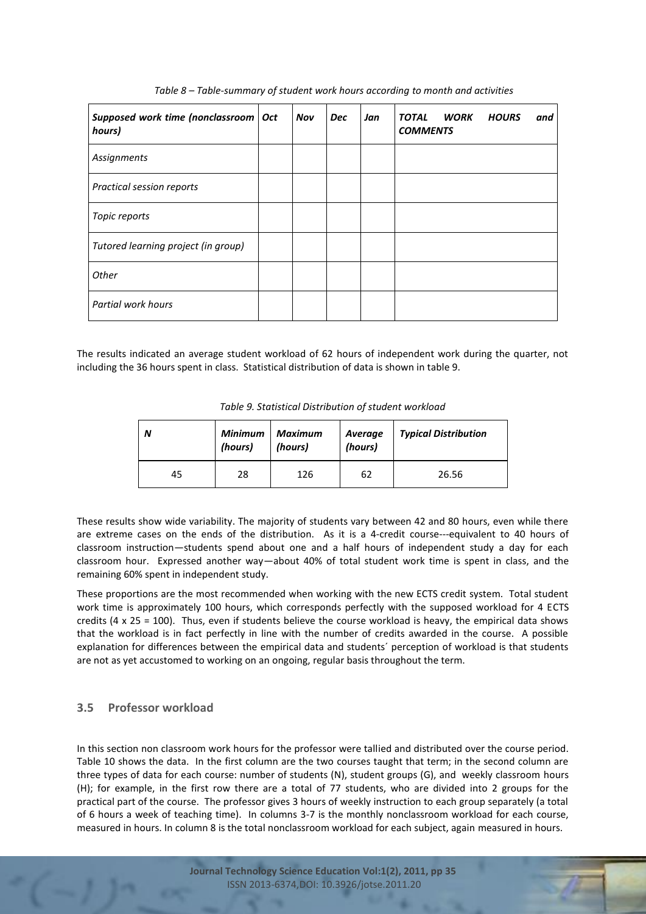| Supposed work time (nonclassroom   Oct<br>hours) | <b>Nov</b> | <b>Dec</b> | Jan | <b>WORK</b><br><b>TOTAL</b><br><b>COMMENTS</b> | <b>HOURS</b><br>and |
|--------------------------------------------------|------------|------------|-----|------------------------------------------------|---------------------|
| Assignments                                      |            |            |     |                                                |                     |
| Practical session reports                        |            |            |     |                                                |                     |
| Topic reports                                    |            |            |     |                                                |                     |
| Tutored learning project (in group)              |            |            |     |                                                |                     |
| Other                                            |            |            |     |                                                |                     |
| Partial work hours                               |            |            |     |                                                |                     |

*Table 8 – Table-summary of student work hours according to month and activities*

The results indicated an average student workload of 62 hours of independent work during the quarter, not including the 36 hours spent in class. Statistical distribution of data is shown in table 9.

| Table 9. Statistical Distribution of student workload |  |
|-------------------------------------------------------|--|
|-------------------------------------------------------|--|

| N  | <b>Minimum</b><br>(hours) | <b>Maximum</b><br>(hours) | Average<br>(hours) | <b>Typical Distribution</b> |  |
|----|---------------------------|---------------------------|--------------------|-----------------------------|--|
| 45 | 28                        | 126                       | 62                 | 26.56                       |  |

These results show wide variability. The majority of students vary between 42 and 80 hours, even while there are extreme cases on the ends of the distribution. As it is a 4-credit course---equivalent to 40 hours of classroom instruction—students spend about one and a half hours of independent study a day for each classroom hour. Expressed another way—about 40% of total student work time is spent in class, and the remaining 60% spent in independent study.

These proportions are the most recommended when working with the new ECTS credit system. Total student work time is approximately 100 hours, which corresponds perfectly with the supposed workload for 4 ECTS credits (4 x 25 = 100). Thus, even if students believe the course workload is heavy, the empirical data shows that the workload is in fact perfectly in line with the number of credits awarded in the course. A possible explanation for differences between the empirical data and students´ perception of workload is that students are not as yet accustomed to working on an ongoing, regular basis throughout the term.

# **3.5 Professor workload**

In this section non classroom work hours for the professor were tallied and distributed over the course period. Table 10 shows the data. In the first column are the two courses taught that term; in the second column are three types of data for each course: number of students (N), student groups (G), and weekly classroom hours (H); for example, in the first row there are a total of 77 students, who are divided into 2 groups for the practical part of the course. The professor gives 3 hours of weekly instruction to each group separately (a total of 6 hours a week of teaching time). In columns 3-7 is the monthly nonclassroom workload for each course, measured in hours. In column 8 is the total nonclassroom workload for each subject, again measured in hours.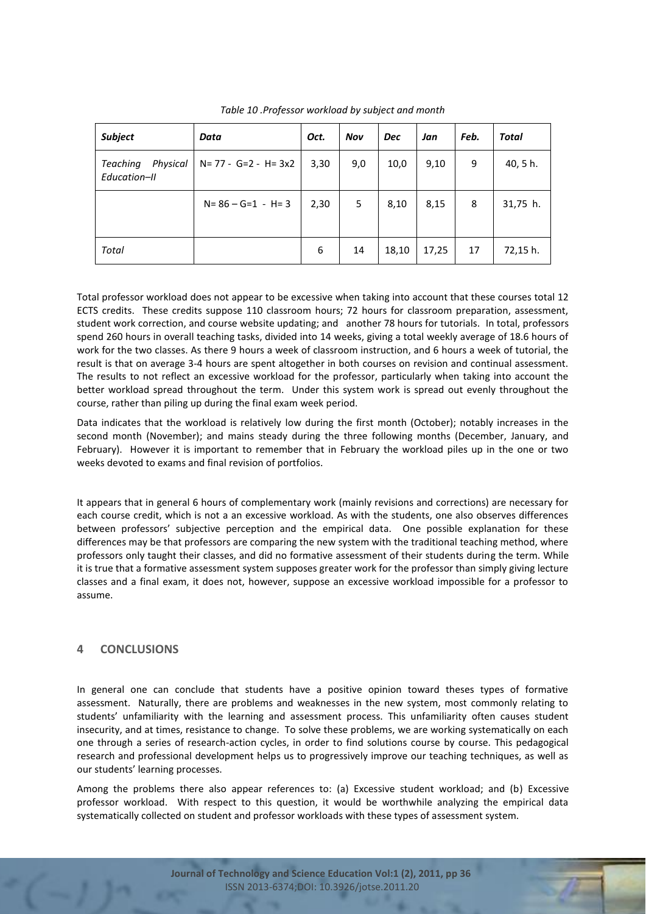| <b>Subject</b>                              | Data                       | Oct. | Nov | <b>Dec</b> | Jan   | Feb. | Total    |
|---------------------------------------------|----------------------------|------|-----|------------|-------|------|----------|
| <b>Teaching</b><br>Physical<br>Education-II | $N = 77 - G = 2 - H = 3x2$ | 3,30 | 9,0 | 10,0       | 9,10  | 9    | 40, 5 h. |
|                                             | $N = 86 - G = 1 - H = 3$   | 2,30 | 5   | 8,10       | 8,15  | 8    | 31,75 h. |
| <b>Total</b>                                |                            | 6    | 14  | 18,10      | 17,25 | 17   | 72,15 h. |

*Table 10 .Professor workload by subject and month*

Total professor workload does not appear to be excessive when taking into account that these courses total 12 ECTS credits. These credits suppose 110 classroom hours; 72 hours for classroom preparation, assessment, student work correction, and course website updating; and another 78 hours for tutorials. In total, professors spend 260 hours in overall teaching tasks, divided into 14 weeks, giving a total weekly average of 18.6 hours of work for the two classes. As there 9 hours a week of classroom instruction, and 6 hours a week of tutorial, the result is that on average 3-4 hours are spent altogether in both courses on revision and continual assessment. The results to not reflect an excessive workload for the professor, particularly when taking into account the better workload spread throughout the term. Under this system work is spread out evenly throughout the course, rather than piling up during the final exam week period.

Data indicates that the workload is relatively low during the first month (October); notably increases in the second month (November); and mains steady during the three following months (December, January, and February). However it is important to remember that in February the workload piles up in the one or two weeks devoted to exams and final revision of portfolios.

It appears that in general 6 hours of complementary work (mainly revisions and corrections) are necessary for each course credit, which is not a an excessive workload. As with the students, one also observes differences between professors' subjective perception and the empirical data. One possible explanation for these differences may be that professors are comparing the new system with the traditional teaching method, where professors only taught their classes, and did no formative assessment of their students during the term. While it is true that a formative assessment system supposes greater work for the professor than simply giving lecture classes and a final exam, it does not, however, suppose an excessive workload impossible for a professor to assume.

# **4 CONCLUSIONS**

In general one can conclude that students have a positive opinion toward theses types of formative assessment. Naturally, there are problems and weaknesses in the new system, most commonly relating to students' unfamiliarity with the learning and assessment process. This unfamiliarity often causes student insecurity, and at times, resistance to change. To solve these problems, we are working systematically on each one through a series of research-action cycles, in order to find solutions course by course. This pedagogical research and professional development helps us to progressively improve our teaching techniques, as well as our students' learning processes.

Among the problems there also appear references to: (a) Excessive student workload; and (b) Excessive professor workload. With respect to this question, it would be worthwhile analyzing the empirical data systematically collected on student and professor workloads with these types of assessment system.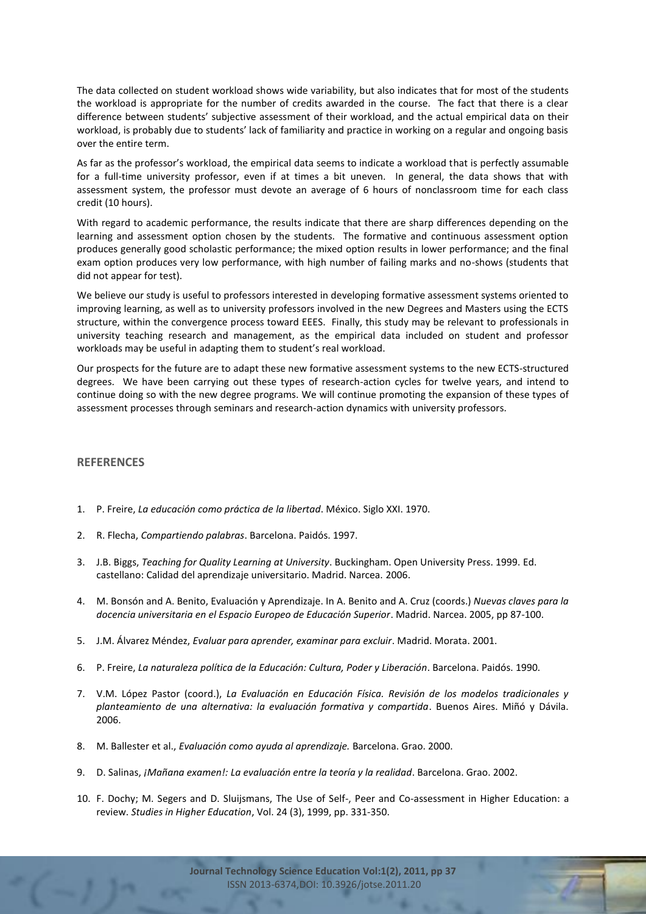The data collected on student workload shows wide variability, but also indicates that for most of the students the workload is appropriate for the number of credits awarded in the course. The fact that there is a clear difference between students' subjective assessment of their workload, and the actual empirical data on their workload, is probably due to students' lack of familiarity and practice in working on a regular and ongoing basis over the entire term.

As far as the professor's workload, the empirical data seems to indicate a workload that is perfectly assumable for a full-time university professor, even if at times a bit uneven. In general, the data shows that with assessment system, the professor must devote an average of 6 hours of nonclassroom time for each class credit (10 hours).

With regard to academic performance, the results indicate that there are sharp differences depending on the learning and assessment option chosen by the students. The formative and continuous assessment option produces generally good scholastic performance; the mixed option results in lower performance; and the final exam option produces very low performance, with high number of failing marks and no-shows (students that did not appear for test).

We believe our study is useful to professors interested in developing formative assessment systems oriented to improving learning, as well as to university professors involved in the new Degrees and Masters using the ECTS structure, within the convergence process toward EEES. Finally, this study may be relevant to professionals in university teaching research and management, as the empirical data included on student and professor workloads may be useful in adapting them to student's real workload.

Our prospects for the future are to adapt these new formative assessment systems to the new ECTS-structured degrees. We have been carrying out these types of research-action cycles for twelve years, and intend to continue doing so with the new degree programs. We will continue promoting the expansion of these types of assessment processes through seminars and research-action dynamics with university professors.

#### **REFERENCES**

- 1. P. Freire, *La educación como práctica de la libertad*. México. Siglo XXI. 1970.
- 2. R. Flecha, *Compartiendo palabras*. Barcelona. Paidós. 1997.
- 3. J.B. Biggs, *Teaching for Quality Learning at University*. Buckingham. Open University Press. 1999. Ed. castellano: Calidad del aprendizaje universitario. Madrid. Narcea. 2006.
- 4. M. Bonsón and A. Benito, Evaluación y Aprendizaje. In A. Benito and A. Cruz (coords.) *Nuevas claves para la docencia universitaria en el Espacio Europeo de Educación Superior*. Madrid. Narcea. 2005, pp 87-100.
- 5. J.M. Álvarez Méndez, *Evaluar para aprender, examinar para excluir*. Madrid. Morata. 2001.
- 6. P. Freire, *La naturaleza política de la Educación: Cultura, Poder y Liberación*. Barcelona. Paidós. 1990.
- 7. V.M. López Pastor (coord.), *La Evaluación en Educación Física. Revisión de los modelos tradicionales y planteamiento de una alternativa: la evaluación formativa y compartida*. Buenos Aires. Miñó y Dávila. 2006.
- 8. M. Ballester et al., *Evaluación como ayuda al aprendizaje.* Barcelona. Grao. 2000.
- 9. D. Salinas, *¡Mañana examen!: La evaluación entre la teoría y la realidad*. Barcelona. Grao. 2002.
- 10. F. Dochy; M. Segers and D. Sluijsmans, The Use of Self-, Peer and Co-assessment in Higher Education: a review. *Studies in Higher Education*, Vol. 24 (3), 1999, pp. 331-350.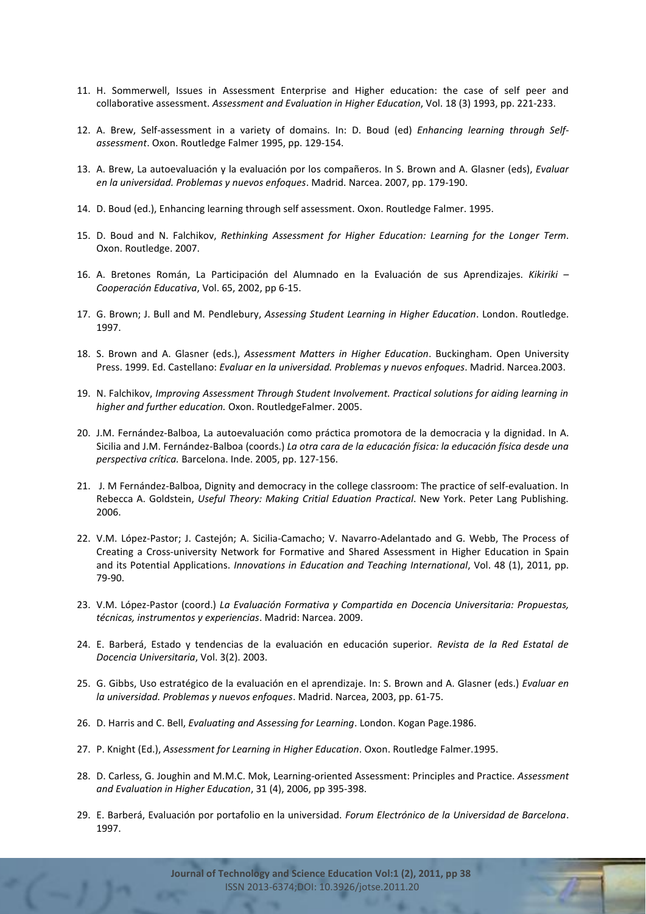- 11. H. Sommerwell, Issues in Assessment Enterprise and Higher education: the case of self peer and collaborative assessment. *Assessment and Evaluation in Higher Education*, Vol. 18 (3) 1993, pp. 221-233.
- 12. A. Brew, Self-assessment in a variety of domains. In: D. Boud (ed) *Enhancing learning through Selfassessment*. Oxon. Routledge Falmer 1995, pp. 129-154.
- 13. A. Brew, La autoevaluación y la evaluación por los compañeros. In S. Brown and A. Glasner (eds), *Evaluar en la universidad. Problemas y nuevos enfoques*. Madrid. Narcea. 2007, pp. 179-190.
- 14. D. Boud (ed.), Enhancing learning through self assessment. Oxon. Routledge Falmer. 1995.
- 15. D. Boud and N. Falchikov, *Rethinking Assessment for Higher Education: Learning for the Longer Term*. Oxon. Routledge. 2007.
- 16. A. Bretones Román, La Participación del Alumnado en la Evaluación de sus Aprendizajes. *Kikiriki – Cooperación Educativa*, Vol. 65, 2002, pp 6-15.
- 17. G. Brown; J. Bull and M. Pendlebury, *Assessing Student Learning in Higher Education*. London. Routledge. 1997.
- 18. S. Brown and A. Glasner (eds.), *Assessment Matters in Higher Education*. Buckingham. Open University Press. 1999. Ed. Castellano: *Evaluar en la universidad. Problemas y nuevos enfoques*. Madrid. Narcea.2003.
- 19. N. Falchikov, *Improving Assessment Through Student Involvement. Practical solutions for aiding learning in higher and further education.* Oxon. RoutledgeFalmer. 2005.
- 20. J.M. Fernández-Balboa, La autoevaluación como práctica promotora de la democracia y la dignidad. In A. Sicilia and J.M. Fernández-Balboa (coords.) *La otra cara de la educación física: la educación física desde una perspectiva crítica.* Barcelona. Inde. 2005, pp. 127-156.
- 21. J. M Fernández-Balboa, Dignity and democracy in the college classroom: The practice of self-evaluation. In Rebecca A. Goldstein, *Useful Theory: Making Critial Eduation Practical*. New York. Peter Lang Publishing. 2006.
- 22. V.M. López-Pastor; J. Castejón; A. Sicilia-Camacho; V. Navarro-Adelantado and G. Webb, The Process of Creating a Cross-university Network for Formative and Shared Assessment in Higher Education in Spain and its Potential Applications. *Innovations in Education and Teaching International*, Vol. 48 (1), 2011, pp. 79-90.
- 23. V.M. López-Pastor (coord.) *La Evaluación Formativa y Compartida en Docencia Universitaria: Propuestas, técnicas, instrumentos y experiencias*. Madrid: Narcea. 2009.
- 24. E. Barberá, Estado y tendencias de la evaluación en educación superior. *Revista de la Red Estatal de Docencia Universitaria*, Vol. 3(2). 2003.
- 25. G. Gibbs, Uso estratégico de la evaluación en el aprendizaje. In: S. Brown and A. Glasner (eds.) *Evaluar en la universidad. Problemas y nuevos enfoques*. Madrid. Narcea, 2003, pp. 61-75.
- 26. D. Harris and C. Bell, *Evaluating and Assessing for Learning*. London. Kogan Page.1986.
- 27. P. Knight (Ed.), *Assessment for Learning in Higher Education*. Oxon. Routledge Falmer.1995.
- 28. D. Carless, G. Joughin and M.M.C. Mok, Learning-oriented Assessment: Principles and Practice. *Assessment and Evaluation in Higher Education*, 31 (4), 2006, pp 395-398.
- 29. E. Barberá, Evaluación por portafolio en la universidad. *Forum Electrónico de la Universidad de Barcelona*. 1997.